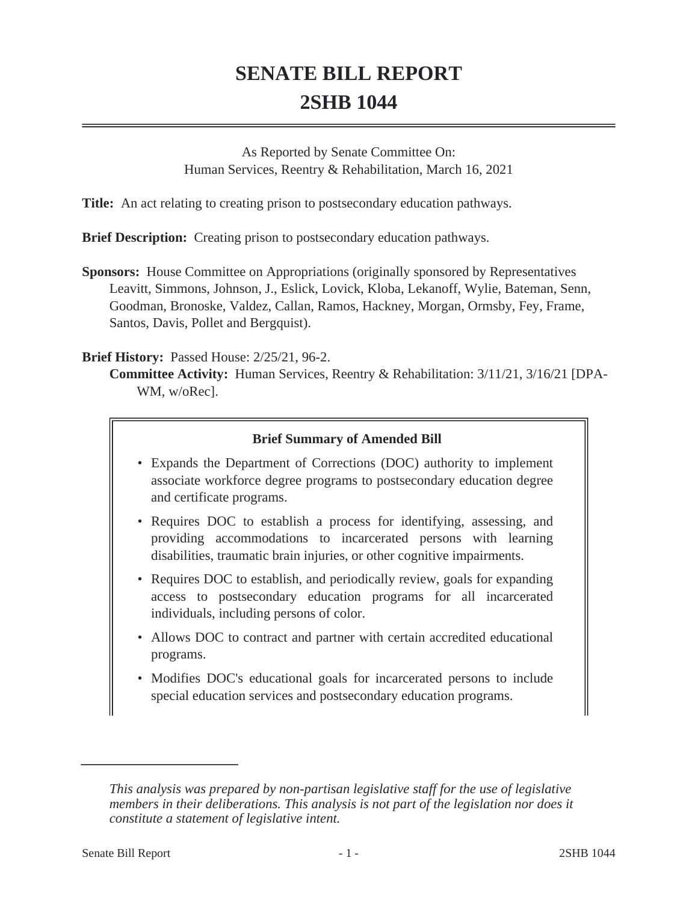# **SENATE BILL REPORT 2SHB 1044**

As Reported by Senate Committee On: Human Services, Reentry & Rehabilitation, March 16, 2021

**Title:** An act relating to creating prison to postsecondary education pathways.

**Brief Description:** Creating prison to postsecondary education pathways.

**Sponsors:** House Committee on Appropriations (originally sponsored by Representatives Leavitt, Simmons, Johnson, J., Eslick, Lovick, Kloba, Lekanoff, Wylie, Bateman, Senn, Goodman, Bronoske, Valdez, Callan, Ramos, Hackney, Morgan, Ormsby, Fey, Frame, Santos, Davis, Pollet and Bergquist).

### **Brief History:** Passed House: 2/25/21, 96-2.

**Committee Activity:** Human Services, Reentry & Rehabilitation: 3/11/21, 3/16/21 [DPA-WM, w/oRec].

# **Brief Summary of Amended Bill**

- Expands the Department of Corrections (DOC) authority to implement associate workforce degree programs to postsecondary education degree and certificate programs.
- Requires DOC to establish a process for identifying, assessing, and providing accommodations to incarcerated persons with learning disabilities, traumatic brain injuries, or other cognitive impairments.
- Requires DOC to establish, and periodically review, goals for expanding access to postsecondary education programs for all incarcerated individuals, including persons of color.
- Allows DOC to contract and partner with certain accredited educational programs.
- Modifies DOC's educational goals for incarcerated persons to include special education services and postsecondary education programs.

*This analysis was prepared by non-partisan legislative staff for the use of legislative members in their deliberations. This analysis is not part of the legislation nor does it constitute a statement of legislative intent.*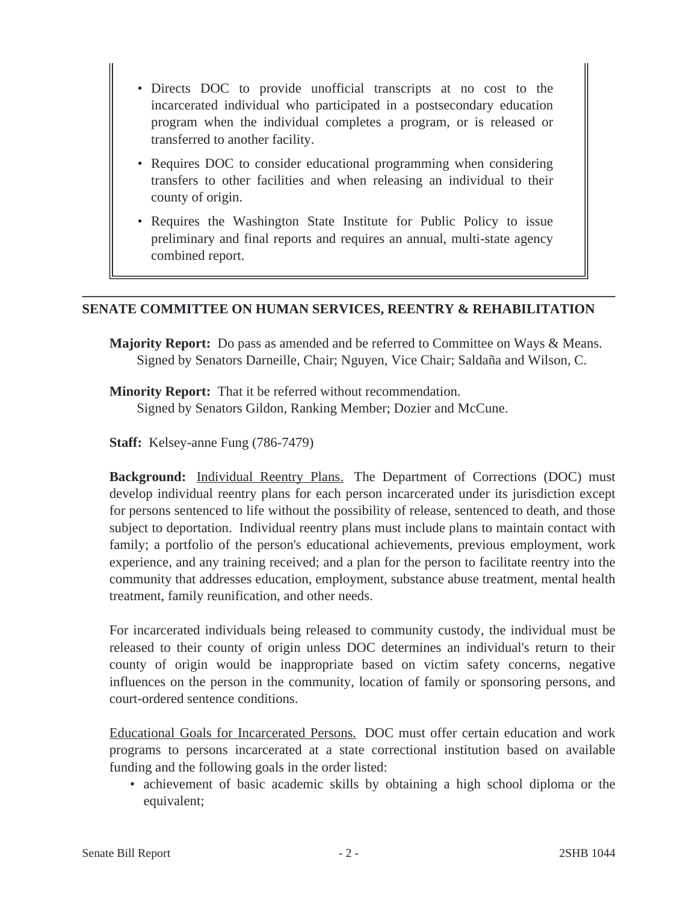- Directs DOC to provide unofficial transcripts at no cost to the incarcerated individual who participated in a postsecondary education program when the individual completes a program, or is released or transferred to another facility.
- Requires DOC to consider educational programming when considering transfers to other facilities and when releasing an individual to their county of origin.
- Requires the Washington State Institute for Public Policy to issue preliminary and final reports and requires an annual, multi-state agency combined report.

#### **SENATE COMMITTEE ON HUMAN SERVICES, REENTRY & REHABILITATION**

**Majority Report:** Do pass as amended and be referred to Committee on Ways & Means. Signed by Senators Darneille, Chair; Nguyen, Vice Chair; Saldaña and Wilson, C.

**Minority Report:** That it be referred without recommendation. Signed by Senators Gildon, Ranking Member; Dozier and McCune.

**Staff:** Kelsey-anne Fung (786-7479)

**Background:** Individual Reentry Plans. The Department of Corrections (DOC) must develop individual reentry plans for each person incarcerated under its jurisdiction except for persons sentenced to life without the possibility of release, sentenced to death, and those subject to deportation. Individual reentry plans must include plans to maintain contact with family; a portfolio of the person's educational achievements, previous employment, work experience, and any training received; and a plan for the person to facilitate reentry into the community that addresses education, employment, substance abuse treatment, mental health treatment, family reunification, and other needs.

For incarcerated individuals being released to community custody, the individual must be released to their county of origin unless DOC determines an individual's return to their county of origin would be inappropriate based on victim safety concerns, negative influences on the person in the community, location of family or sponsoring persons, and court-ordered sentence conditions.

Educational Goals for Incarcerated Persons. DOC must offer certain education and work programs to persons incarcerated at a state correctional institution based on available funding and the following goals in the order listed:

• achievement of basic academic skills by obtaining a high school diploma or the equivalent;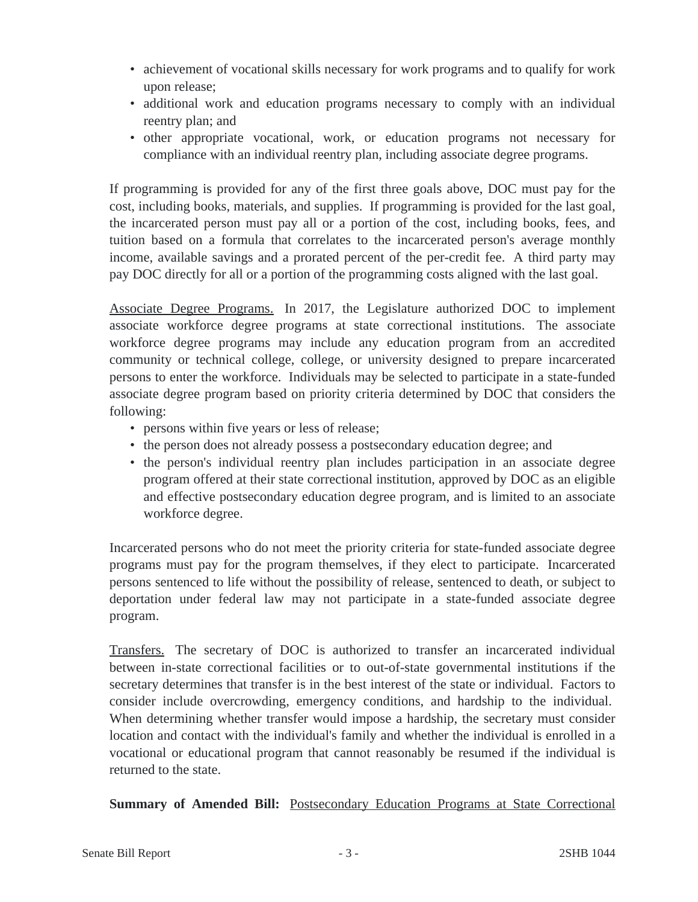- achievement of vocational skills necessary for work programs and to qualify for work upon release;
- additional work and education programs necessary to comply with an individual reentry plan; and
- other appropriate vocational, work, or education programs not necessary for compliance with an individual reentry plan, including associate degree programs.

If programming is provided for any of the first three goals above, DOC must pay for the cost, including books, materials, and supplies. If programming is provided for the last goal, the incarcerated person must pay all or a portion of the cost, including books, fees, and tuition based on a formula that correlates to the incarcerated person's average monthly income, available savings and a prorated percent of the per-credit fee. A third party may pay DOC directly for all or a portion of the programming costs aligned with the last goal.

Associate Degree Programs. In 2017, the Legislature authorized DOC to implement associate workforce degree programs at state correctional institutions. The associate workforce degree programs may include any education program from an accredited community or technical college, college, or university designed to prepare incarcerated persons to enter the workforce. Individuals may be selected to participate in a state-funded associate degree program based on priority criteria determined by DOC that considers the following:

- persons within five years or less of release;
- the person does not already possess a postsecondary education degree; and
- the person's individual reentry plan includes participation in an associate degree program offered at their state correctional institution, approved by DOC as an eligible and effective postsecondary education degree program, and is limited to an associate workforce degree.

Incarcerated persons who do not meet the priority criteria for state-funded associate degree programs must pay for the program themselves, if they elect to participate. Incarcerated persons sentenced to life without the possibility of release, sentenced to death, or subject to deportation under federal law may not participate in a state-funded associate degree program.

Transfers. The secretary of DOC is authorized to transfer an incarcerated individual between in-state correctional facilities or to out-of-state governmental institutions if the secretary determines that transfer is in the best interest of the state or individual. Factors to consider include overcrowding, emergency conditions, and hardship to the individual. When determining whether transfer would impose a hardship, the secretary must consider location and contact with the individual's family and whether the individual is enrolled in a vocational or educational program that cannot reasonably be resumed if the individual is returned to the state.

**Summary of Amended Bill:** Postsecondary Education Programs at State Correctional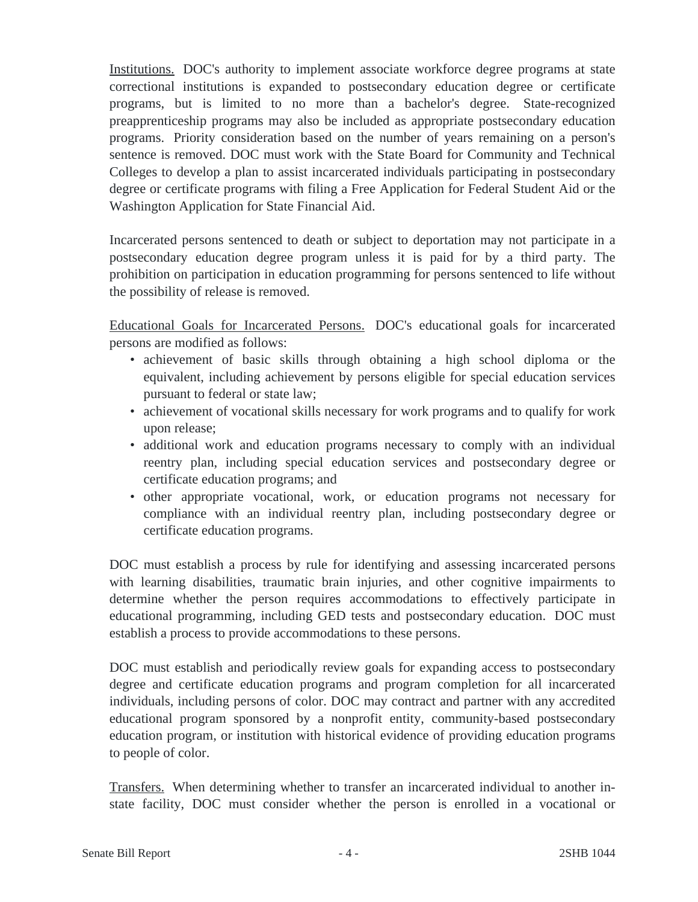Institutions. DOC's authority to implement associate workforce degree programs at state correctional institutions is expanded to postsecondary education degree or certificate programs, but is limited to no more than a bachelor's degree. State-recognized preapprenticeship programs may also be included as appropriate postsecondary education programs. Priority consideration based on the number of years remaining on a person's sentence is removed. DOC must work with the State Board for Community and Technical Colleges to develop a plan to assist incarcerated individuals participating in postsecondary degree or certificate programs with filing a Free Application for Federal Student Aid or the Washington Application for State Financial Aid.

Incarcerated persons sentenced to death or subject to deportation may not participate in a postsecondary education degree program unless it is paid for by a third party. The prohibition on participation in education programming for persons sentenced to life without the possibility of release is removed.

Educational Goals for Incarcerated Persons. DOC's educational goals for incarcerated persons are modified as follows:

- achievement of basic skills through obtaining a high school diploma or the equivalent, including achievement by persons eligible for special education services pursuant to federal or state law;
- achievement of vocational skills necessary for work programs and to qualify for work upon release;
- additional work and education programs necessary to comply with an individual reentry plan, including special education services and postsecondary degree or certificate education programs; and
- other appropriate vocational, work, or education programs not necessary for compliance with an individual reentry plan, including postsecondary degree or certificate education programs.

DOC must establish a process by rule for identifying and assessing incarcerated persons with learning disabilities, traumatic brain injuries, and other cognitive impairments to determine whether the person requires accommodations to effectively participate in educational programming, including GED tests and postsecondary education. DOC must establish a process to provide accommodations to these persons.

DOC must establish and periodically review goals for expanding access to postsecondary degree and certificate education programs and program completion for all incarcerated individuals, including persons of color. DOC may contract and partner with any accredited educational program sponsored by a nonprofit entity, community-based postsecondary education program, or institution with historical evidence of providing education programs to people of color.

Transfers. When determining whether to transfer an incarcerated individual to another instate facility, DOC must consider whether the person is enrolled in a vocational or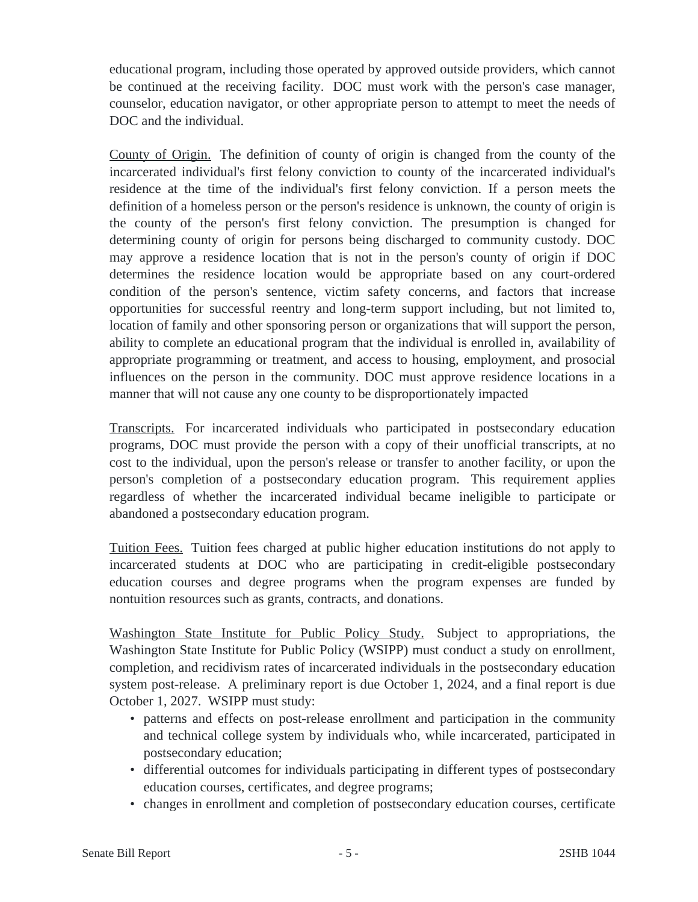educational program, including those operated by approved outside providers, which cannot be continued at the receiving facility. DOC must work with the person's case manager, counselor, education navigator, or other appropriate person to attempt to meet the needs of DOC and the individual.

County of Origin. The definition of county of origin is changed from the county of the incarcerated individual's first felony conviction to county of the incarcerated individual's residence at the time of the individual's first felony conviction. If a person meets the definition of a homeless person or the person's residence is unknown, the county of origin is the county of the person's first felony conviction. The presumption is changed for determining county of origin for persons being discharged to community custody. DOC may approve a residence location that is not in the person's county of origin if DOC determines the residence location would be appropriate based on any court-ordered condition of the person's sentence, victim safety concerns, and factors that increase opportunities for successful reentry and long-term support including, but not limited to, location of family and other sponsoring person or organizations that will support the person, ability to complete an educational program that the individual is enrolled in, availability of appropriate programming or treatment, and access to housing, employment, and prosocial influences on the person in the community. DOC must approve residence locations in a manner that will not cause any one county to be disproportionately impacted

Transcripts. For incarcerated individuals who participated in postsecondary education programs, DOC must provide the person with a copy of their unofficial transcripts, at no cost to the individual, upon the person's release or transfer to another facility, or upon the person's completion of a postsecondary education program. This requirement applies regardless of whether the incarcerated individual became ineligible to participate or abandoned a postsecondary education program.

Tuition Fees. Tuition fees charged at public higher education institutions do not apply to incarcerated students at DOC who are participating in credit-eligible postsecondary education courses and degree programs when the program expenses are funded by nontuition resources such as grants, contracts, and donations.

Washington State Institute for Public Policy Study. Subject to appropriations, the Washington State Institute for Public Policy (WSIPP) must conduct a study on enrollment, completion, and recidivism rates of incarcerated individuals in the postsecondary education system post-release. A preliminary report is due October 1, 2024, and a final report is due October 1, 2027. WSIPP must study:

- patterns and effects on post-release enrollment and participation in the community and technical college system by individuals who, while incarcerated, participated in postsecondary education;
- differential outcomes for individuals participating in different types of postsecondary education courses, certificates, and degree programs;
- changes in enrollment and completion of postsecondary education courses, certificate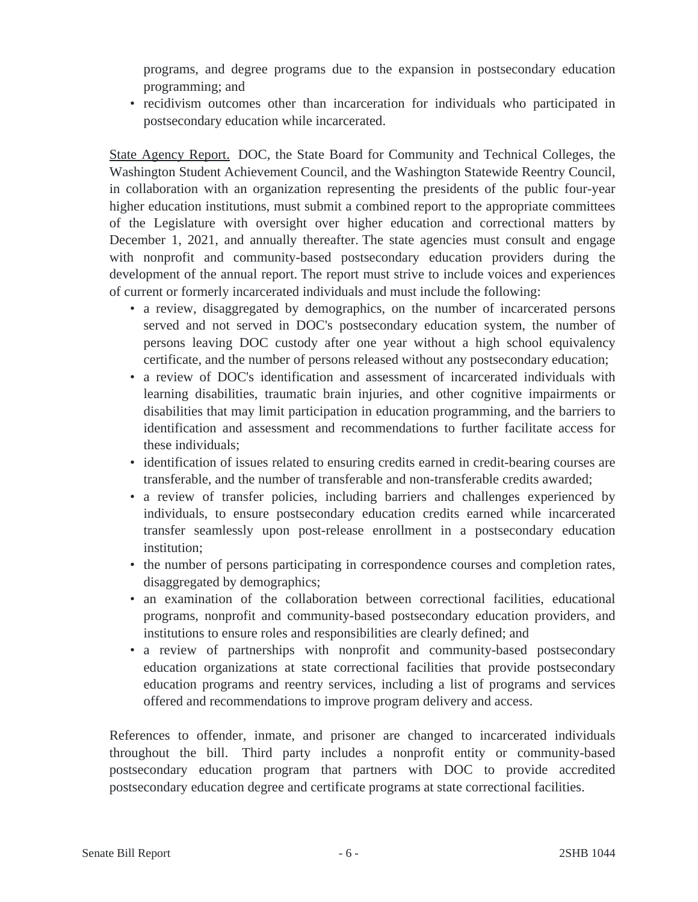programs, and degree programs due to the expansion in postsecondary education programming; and

• recidivism outcomes other than incarceration for individuals who participated in postsecondary education while incarcerated.

State Agency Report. DOC, the State Board for Community and Technical Colleges, the Washington Student Achievement Council, and the Washington Statewide Reentry Council, in collaboration with an organization representing the presidents of the public four-year higher education institutions, must submit a combined report to the appropriate committees of the Legislature with oversight over higher education and correctional matters by December 1, 2021, and annually thereafter. The state agencies must consult and engage with nonprofit and community-based postsecondary education providers during the development of the annual report. The report must strive to include voices and experiences of current or formerly incarcerated individuals and must include the following:

- a review, disaggregated by demographics, on the number of incarcerated persons served and not served in DOC's postsecondary education system, the number of persons leaving DOC custody after one year without a high school equivalency certificate, and the number of persons released without any postsecondary education;
- a review of DOC's identification and assessment of incarcerated individuals with learning disabilities, traumatic brain injuries, and other cognitive impairments or disabilities that may limit participation in education programming, and the barriers to identification and assessment and recommendations to further facilitate access for these individuals;
- identification of issues related to ensuring credits earned in credit-bearing courses are transferable, and the number of transferable and non-transferable credits awarded;
- a review of transfer policies, including barriers and challenges experienced by individuals, to ensure postsecondary education credits earned while incarcerated transfer seamlessly upon post-release enrollment in a postsecondary education institution:
- the number of persons participating in correspondence courses and completion rates, disaggregated by demographics;
- an examination of the collaboration between correctional facilities, educational programs, nonprofit and community-based postsecondary education providers, and institutions to ensure roles and responsibilities are clearly defined; and
- a review of partnerships with nonprofit and community-based postsecondary education organizations at state correctional facilities that provide postsecondary education programs and reentry services, including a list of programs and services offered and recommendations to improve program delivery and access.

References to offender, inmate, and prisoner are changed to incarcerated individuals throughout the bill. Third party includes a nonprofit entity or community-based postsecondary education program that partners with DOC to provide accredited postsecondary education degree and certificate programs at state correctional facilities.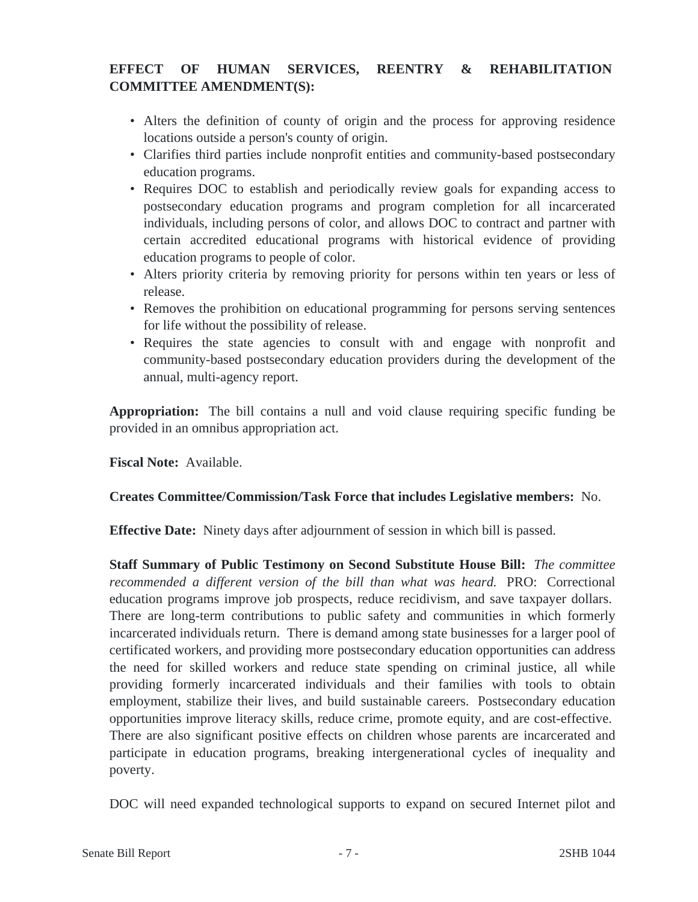# **EFFECT OF HUMAN SERVICES, REENTRY & REHABILITATION COMMITTEE AMENDMENT(S):**

- Alters the definition of county of origin and the process for approving residence locations outside a person's county of origin.
- Clarifies third parties include nonprofit entities and community-based postsecondary education programs.
- Requires DOC to establish and periodically review goals for expanding access to postsecondary education programs and program completion for all incarcerated individuals, including persons of color, and allows DOC to contract and partner with certain accredited educational programs with historical evidence of providing education programs to people of color.
- Alters priority criteria by removing priority for persons within ten years or less of release.
- Removes the prohibition on educational programming for persons serving sentences for life without the possibility of release.
- Requires the state agencies to consult with and engage with nonprofit and community-based postsecondary education providers during the development of the annual, multi-agency report.

**Appropriation:** The bill contains a null and void clause requiring specific funding be provided in an omnibus appropriation act.

**Fiscal Note:** Available.

# **Creates Committee/Commission/Task Force that includes Legislative members:** No.

**Effective Date:** Ninety days after adjournment of session in which bill is passed.

**Staff Summary of Public Testimony on Second Substitute House Bill:** *The committee recommended a different version of the bill than what was heard.* PRO: Correctional education programs improve job prospects, reduce recidivism, and save taxpayer dollars. There are long-term contributions to public safety and communities in which formerly incarcerated individuals return. There is demand among state businesses for a larger pool of certificated workers, and providing more postsecondary education opportunities can address the need for skilled workers and reduce state spending on criminal justice, all while providing formerly incarcerated individuals and their families with tools to obtain employment, stabilize their lives, and build sustainable careers. Postsecondary education opportunities improve literacy skills, reduce crime, promote equity, and are cost-effective. There are also significant positive effects on children whose parents are incarcerated and participate in education programs, breaking intergenerational cycles of inequality and poverty.

DOC will need expanded technological supports to expand on secured Internet pilot and